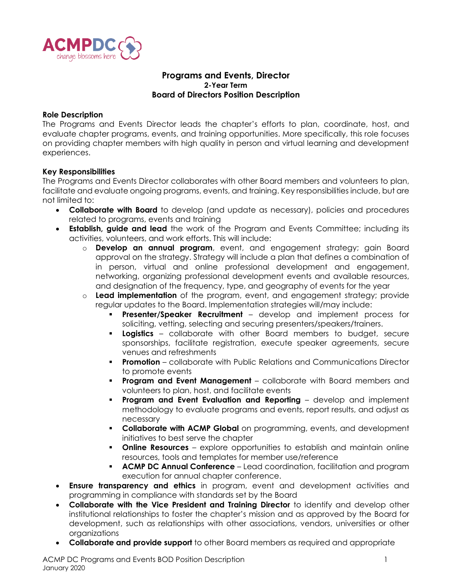

# **Programs and Events, Director 2-Year Term Board of Directors Position Description**

### **Role Description**

The Programs and Events Director leads the chapter's efforts to plan, coordinate, host, and evaluate chapter programs, events, and training opportunities. More specifically, this role focuses on providing chapter members with high quality in person and virtual learning and development experiences.

### **Key Responsibilities**

The Programs and Events Director collaborates with other Board members and volunteers to plan, facilitate and evaluate ongoing programs, events, and training. Key responsibilities include, but are not limited to:

- **Collaborate with Board** to develop (and update as necessary), policies and procedures related to programs, events and training
- **Establish, guide and lead** the work of the Program and Events Committee; including its activities, volunteers, and work efforts. This will include:
	- o **Develop an annual program**, event, and engagement strategy; gain Board approval on the strategy. Strategy will include a plan that defines a combination of in person, virtual and online professional development and engagement, networking, organizing professional development events and available resources, and designation of the frequency, type, and geography of events for the year
	- o **Lead implementation** of the program, event, and engagement strategy; provide regular updates to the Board. Implementation strategies will/may include:
		- **Presenter/Speaker Recruitment** develop and implement process for soliciting, vetting, selecting and securing presenters/speakers/trainers.
		- **Logistics** collaborate with other Board members to budget, secure sponsorships, facilitate registration, execute speaker agreements, secure venues and refreshments
		- **Promotion** collaborate with Public Relations and Communications Director to promote events
		- **Program and Event Management** collaborate with Board members and volunteers to plan, host, and facilitate events
		- **Program and Event Evaluation and Reporting** develop and implement methodology to evaluate programs and events, report results, and adjust as necessary
		- **Collaborate with ACMP Global** on programming, events, and development initiatives to best serve the chapter
		- **Online Resources** explore opportunities to establish and maintain online resources, tools and templates for member use/reference
		- **EXECTAP DC Annual Conference** Lead coordination, facilitation and program execution for annual chapter conference.
- **Ensure transparency and ethics** in program, event and development activities and programming in compliance with standards set by the Board
- **Collaborate with the Vice President and Training Director** to identify and develop other institutional relationships to foster the chapter's mission and as approved by the Board for development, such as relationships with other associations, vendors, universities or other organizations
- **Collaborate and provide support** to other Board members as required and appropriate